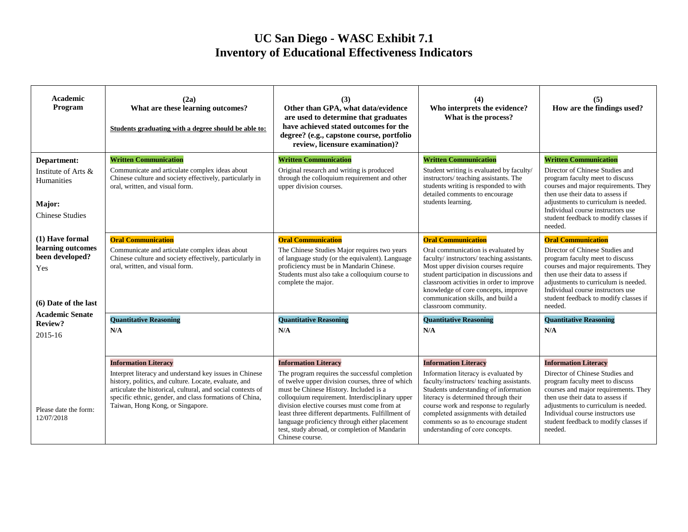## **UC San Diego - WASC Exhibit 7.1 Inventory of Educational Effectiveness Indicators**

| Academic<br>Program                                                                    | (2a)<br>What are these learning outcomes?<br>Students graduating with a degree should be able to:                                                                                                                                                                                                             | (3)<br>Other than GPA, what data/evidence<br>are used to determine that graduates<br>have achieved stated outcomes for the<br>degree? (e.g., capstone course, portfolio<br>review, licensure examination)?                                                                                                                                                                                                                                              | (4)<br>Who interprets the evidence?<br>What is the process?                                                                                                                                                                                                                                                                                                 | (5)<br>How are the findings used?                                                                                                                                                                                                                                                                               |
|----------------------------------------------------------------------------------------|---------------------------------------------------------------------------------------------------------------------------------------------------------------------------------------------------------------------------------------------------------------------------------------------------------------|---------------------------------------------------------------------------------------------------------------------------------------------------------------------------------------------------------------------------------------------------------------------------------------------------------------------------------------------------------------------------------------------------------------------------------------------------------|-------------------------------------------------------------------------------------------------------------------------------------------------------------------------------------------------------------------------------------------------------------------------------------------------------------------------------------------------------------|-----------------------------------------------------------------------------------------------------------------------------------------------------------------------------------------------------------------------------------------------------------------------------------------------------------------|
| Department:<br>Institute of Arts &<br>Humanities<br>Major:<br><b>Chinese Studies</b>   | <b>Written Communication</b><br>Communicate and articulate complex ideas about<br>Chinese culture and society effectively, particularly in<br>oral, written, and visual form.                                                                                                                                 | <b>Written Communication</b><br>Original research and writing is produced<br>through the colloquium requirement and other<br>upper division courses.                                                                                                                                                                                                                                                                                                    | <b>Written Communication</b><br>Student writing is evaluated by faculty/<br>instructors/ teaching assistants. The<br>students writing is responded to with<br>detailed comments to encourage<br>students learning.                                                                                                                                          | <b>Written Communication</b><br>Director of Chinese Studies and<br>program faculty meet to discuss<br>courses and major requirements. They<br>then use their data to assess if<br>adjustments to curriculum is needed.<br>Individual course instructors use<br>student feedback to modify classes if<br>needed. |
| (1) Have formal<br>learning outcomes<br>been developed?<br>Yes<br>(6) Date of the last | <b>Oral Communication</b><br>Communicate and articulate complex ideas about<br>Chinese culture and society effectively, particularly in<br>oral, written, and visual form.                                                                                                                                    | <b>Oral Communication</b><br>The Chinese Studies Major requires two years<br>of language study (or the equivalent). Language<br>proficiency must be in Mandarin Chinese.<br>Students must also take a colloquium course to<br>complete the major.                                                                                                                                                                                                       | <b>Oral Communication</b><br>Oral communication is evaluated by<br>faculty/instructors/teaching assistants.<br>Most upper division courses require<br>student participation in discussions and<br>classroom activities in order to improve<br>knowledge of core concepts, improve<br>communication skills, and build a<br>classroom community.              | <b>Oral Communication</b><br>Director of Chinese Studies and<br>program faculty meet to discuss<br>courses and major requirements. They<br>then use their data to assess if<br>adjustments to curriculum is needed.<br>Individual course instructors use<br>student feedback to modify classes if<br>needed.    |
| <b>Academic Senate</b><br>Review?<br>2015-16                                           | <b>Quantitative Reasoning</b><br>N/A                                                                                                                                                                                                                                                                          | <b>Quantitative Reasoning</b><br>N/A                                                                                                                                                                                                                                                                                                                                                                                                                    | <b>Quantitative Reasoning</b><br>N/A                                                                                                                                                                                                                                                                                                                        | <b>Quantitative Reasoning</b><br>N/A                                                                                                                                                                                                                                                                            |
| Please date the form:<br>12/07/2018                                                    | <b>Information Literacy</b><br>Interpret literacy and understand key issues in Chinese<br>history, politics, and culture. Locate, evaluate, and<br>articulate the historical, cultural, and social contexts of<br>specific ethnic, gender, and class formations of China,<br>Taiwan, Hong Kong, or Singapore. | <b>Information Literacy</b><br>The program requires the successful completion<br>of twelve upper division courses, three of which<br>must be Chinese History. Included is a<br>colloquium requirement. Interdisciplinary upper<br>division elective courses must come from at<br>least three different departments. Fulfillment of<br>language proficiency through either placement<br>test, study abroad, or completion of Mandarin<br>Chinese course. | <b>Information Literacy</b><br>Information literacy is evaluated by<br>faculty/instructors/ teaching assistants.<br>Students understanding of information<br>literacy is determined through their<br>course work and response to regularly<br>completed assignments with detailed<br>comments so as to encourage student<br>understanding of core concepts. | <b>Information Literacy</b><br>Director of Chinese Studies and<br>program faculty meet to discuss<br>courses and major requirements. They<br>then use their data to assess if<br>adjustments to curriculum is needed.<br>Individual course instructors use<br>student feedback to modify classes if<br>needed.  |